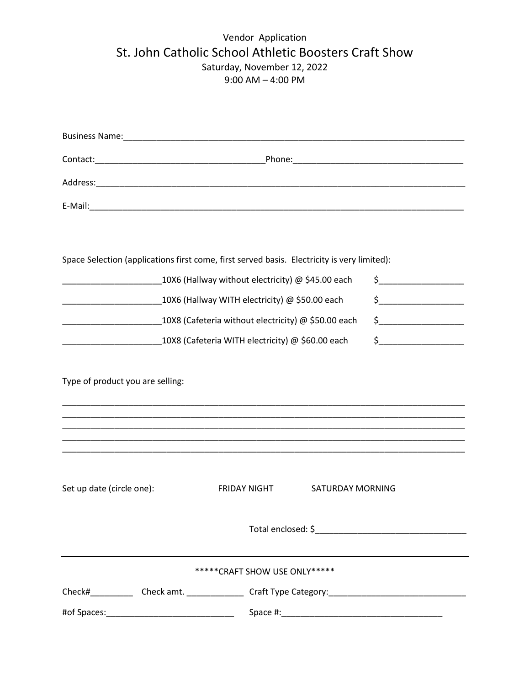## Vendor Application St. John Catholic School Athletic Boosters Craft Show Saturday, November 12, 2022 9:00 AM – 4:00 PM

| Space Selection (applications first come, first served basis. Electricity is very limited):                                                                                                                                                                                            |                                                                                                      |                                                                                                                                                                                                                                                                                                                                                     |
|----------------------------------------------------------------------------------------------------------------------------------------------------------------------------------------------------------------------------------------------------------------------------------------|------------------------------------------------------------------------------------------------------|-----------------------------------------------------------------------------------------------------------------------------------------------------------------------------------------------------------------------------------------------------------------------------------------------------------------------------------------------------|
| 10X6 (Hallway without electricity) @ \$45.00 each                                                                                                                                                                                                                                      |                                                                                                      | $\begin{picture}(20,10) \put(0,0){\line(1,0){10}} \put(15,0){\line(1,0){10}} \put(15,0){\line(1,0){10}} \put(15,0){\line(1,0){10}} \put(15,0){\line(1,0){10}} \put(15,0){\line(1,0){10}} \put(15,0){\line(1,0){10}} \put(15,0){\line(1,0){10}} \put(15,0){\line(1,0){10}} \put(15,0){\line(1,0){10}} \put(15,0){\line(1,0){10}} \put(15,0){\line(1$ |
| 10X6 (Hallway WITH electricity) @ \$50.00 each<br><u> 1989 - Johann John Harry Harry Harry Harry Harry Harry Harry Harry Harry Harry Harry Harry Harry Harry Harry Harry Harry Harry Harry Harry Harry Harry Harry Harry Harry Harry Harry Harry Harry Harry Harry Harry Harry Har</u> |                                                                                                      | $\begin{picture}(20,10) \put(0,0){\line(1,0){10}} \put(15,0){\line(1,0){10}} \put(15,0){\line(1,0){10}} \put(15,0){\line(1,0){10}} \put(15,0){\line(1,0){10}} \put(15,0){\line(1,0){10}} \put(15,0){\line(1,0){10}} \put(15,0){\line(1,0){10}} \put(15,0){\line(1,0){10}} \put(15,0){\line(1,0){10}} \put(15,0){\line(1,0){10}} \put(15,0){\line(1$ |
| 10X8 (Cafeteria without electricity) @ \$50.00 each                                                                                                                                                                                                                                    |                                                                                                      | $\begin{picture}(20,10) \put(0,0){\line(1,0){10}} \put(15,0){\line(1,0){10}} \put(15,0){\line(1,0){10}} \put(15,0){\line(1,0){10}} \put(15,0){\line(1,0){10}} \put(15,0){\line(1,0){10}} \put(15,0){\line(1,0){10}} \put(15,0){\line(1,0){10}} \put(15,0){\line(1,0){10}} \put(15,0){\line(1,0){10}} \put(15,0){\line(1,0){10}} \put(15,0){\line(1$ |
| 10X8 (Cafeteria WITH electricity) @ \$60.00 each                                                                                                                                                                                                                                       |                                                                                                      | $\begin{picture}(20,10) \put(0,0){\line(1,0){10}} \put(15,0){\line(1,0){10}} \put(15,0){\line(1,0){10}} \put(15,0){\line(1,0){10}} \put(15,0){\line(1,0){10}} \put(15,0){\line(1,0){10}} \put(15,0){\line(1,0){10}} \put(15,0){\line(1,0){10}} \put(15,0){\line(1,0){10}} \put(15,0){\line(1,0){10}} \put(15,0){\line(1,0){10}} \put(15,0){\line(1$ |
| Type of product you are selling:                                                                                                                                                                                                                                                       |                                                                                                      |                                                                                                                                                                                                                                                                                                                                                     |
| Set up date (circle one):                                                                                                                                                                                                                                                              | <b>FRIDAY NIGHT</b><br>SATURDAY MORNING                                                              |                                                                                                                                                                                                                                                                                                                                                     |
|                                                                                                                                                                                                                                                                                        |                                                                                                      |                                                                                                                                                                                                                                                                                                                                                     |
| ******CRAFT SHOW USE ONLY*****                                                                                                                                                                                                                                                         |                                                                                                      |                                                                                                                                                                                                                                                                                                                                                     |
|                                                                                                                                                                                                                                                                                        | Check#_____________Check amt. ________________Craft Type Category: _________________________________ |                                                                                                                                                                                                                                                                                                                                                     |
|                                                                                                                                                                                                                                                                                        |                                                                                                      |                                                                                                                                                                                                                                                                                                                                                     |